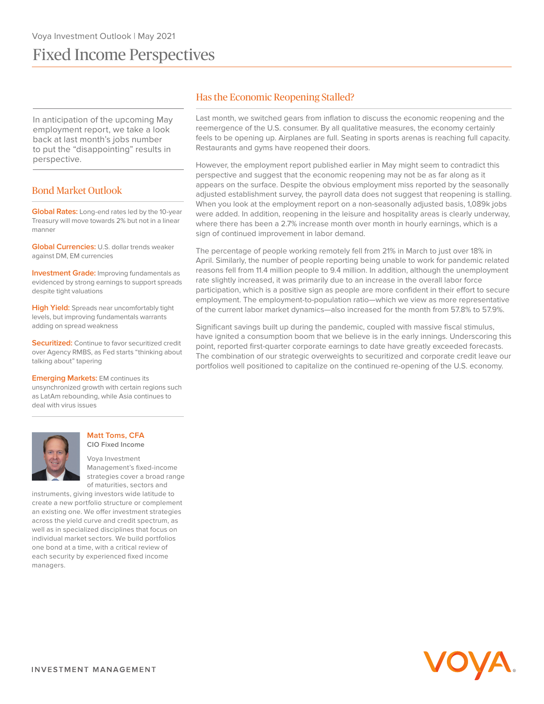# Fixed Income Perspectives

In anticipation of the upcoming May employment report, we take a look back at last month's jobs number to put the "disappointing" results in perspective.

# Bond Market Outlook

**Global Rates:** Long-end rates led by the 10-year Treasury will move towards 2% but not in a linear manner

**Global Currencies:** U.S. dollar trends weaker against DM, EM currencies

**Investment Grade:** Improving fundamentals as evidenced by strong earnings to support spreads despite tight valuations

**High Yield:** Spreads near uncomfortably tight levels, but improving fundamentals warrants adding on spread weakness

**Securitized:** Continue to favor securitized credit over Agency RMBS, as Fed starts "thinking about talking about" tapering

#### **Emerging Markets: EM continues its**

unsynchronized growth with certain regions such as LatAm rebounding, while Asia continues to deal with virus issues



#### **Matt Toms, CFA CIO Fixed Income**

Voya Investment Management's fixed-income strategies cover a broad range of maturities, sectors and

instruments, giving investors wide latitude to create a new portfolio structure or complement an existing one. We offer investment strategies across the yield curve and credit spectrum, as well as in specialized disciplines that focus on individual market sectors. We build portfolios one bond at a time, with a critical review of each security by experienced fixed income managers.

## Has the Economic Reopening Stalled?

Last month, we switched gears from inflation to discuss the economic reopening and the reemergence of the U.S. consumer. By all qualitative measures, the economy certainly feels to be opening up. Airplanes are full. Seating in sports arenas is reaching full capacity. Restaurants and gyms have reopened their doors.

However, the employment report published earlier in May might seem to contradict this perspective and suggest that the economic reopening may not be as far along as it appears on the surface. Despite the obvious employment miss reported by the seasonally adjusted establishment survey, the payroll data does not suggest that reopening is stalling. When you look at the employment report on a non-seasonally adjusted basis, 1,089k jobs were added. In addition, reopening in the leisure and hospitality areas is clearly underway, where there has been a 2.7% increase month over month in hourly earnings, which is a sign of continued improvement in labor demand.

The percentage of people working remotely fell from 21% in March to just over 18% in April. Similarly, the number of people reporting being unable to work for pandemic related reasons fell from 11.4 million people to 9.4 million. In addition, although the unemployment rate slightly increased, it was primarily due to an increase in the overall labor force participation, which is a positive sign as people are more confident in their effort to secure employment. The employment-to-population ratio—which we view as more representative of the current labor market dynamics—also increased for the month from 57.8% to 57.9%.

Significant savings built up during the pandemic, coupled with massive fiscal stimulus, have ignited a consumption boom that we believe is in the early innings. Underscoring this point, reported first-quarter corporate earnings to date have greatly exceeded forecasts. The combination of our strategic overweights to securitized and corporate credit leave our portfolios well positioned to capitalize on the continued re-opening of the U.S. economy.

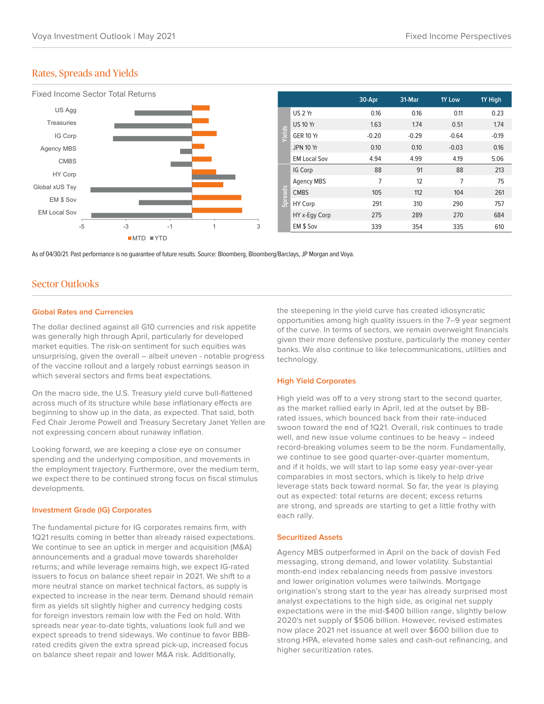## Rates, Spreads and Yields



As of 04/30/21. Past performance is no guarantee of future results. Source: Bloomberg, Bloomberg/Barclays, JP Morgan and Voya.

## Sector Outlooks

#### **Global Rates and Currencies**

The dollar declined against all G10 currencies and risk appetite was generally high through April, particularly for developed market equities. The risk-on sentiment for such equities was unsurprising, given the overall – albeit uneven - notable progress of the vaccine rollout and a largely robust earnings season in which several sectors and firms beat expectations.

On the macro side, the U.S. Treasury yield curve bull-flattened across much of its structure while base inflationary effects are beginning to show up in the data, as expected. That said, both Fed Chair Jerome Powell and Treasury Secretary Janet Yellen are not expressing concern about runaway inflation.

Looking forward, we are keeping a close eye on consumer spending and the underlying composition, and movements in the employment trajectory. Furthermore, over the medium term, we expect there to be continued strong focus on fiscal stimulus developments.

#### **Investment Grade (IG) Corporates**

The fundamental picture for IG corporates remains firm, with 1Q21 results coming in better than already raised expectations. We continue to see an uptick in merger and acquisition (M&A) announcements and a gradual move towards shareholder returns; and while leverage remains high, we expect IG-rated issuers to focus on balance sheet repair in 2021. We shift to a more neutral stance on market technical factors, as supply is expected to increase in the near term. Demand should remain firm as yields sit slightly higher and currency hedging costs for foreign investors remain low with the Fed on hold. With spreads near year-to-date tights, valuations look full and we expect spreads to trend sideways. We continue to favor BBBrated credits given the extra spread pick-up, increased focus on balance sheet repair and lower M&A risk. Additionally,

the steepening in the yield curve has created idiosyncratic opportunities among high quality issuers in the 7–9 year segment of the curve. In terms of sectors, we remain overweight financials given their more defensive posture, particularly the money center banks. We also continue to like telecommunications, utilities and technology.

### **High Yield Corporates**

High yield was off to a very strong start to the second quarter, as the market rallied early in April, led at the outset by BBrated issues, which bounced back from their rate-induced swoon toward the end of 1Q21. Overall, risk continues to trade well, and new issue volume continues to be heavy – indeed record-breaking volumes seem to be the norm. Fundamentally, we continue to see good quarter-over-quarter momentum, and if it holds, we will start to lap some easy year-over-year comparables in most sectors, which is likely to help drive leverage stats back toward normal. So far, the year is playing out as expected: total returns are decent; excess returns are strong, and spreads are starting to get a little frothy with each rally.

#### **Securitized Assets**

Agency MBS outperformed in April on the back of dovish Fed messaging, strong demand, and lower volatility. Substantial month-end index rebalancing needs from passive investors and lower origination volumes were tailwinds. Mortgage origination's strong start to the year has already surprised most analyst expectations to the high side, as original net supply expectations were in the mid-\$400 billion range, slightly below 2020's net supply of \$506 billion. However, revised estimates now place 2021 net issuance at well over \$600 billion due to strong HPA, elevated home sales and cash-out refinancing, and higher securitization rates.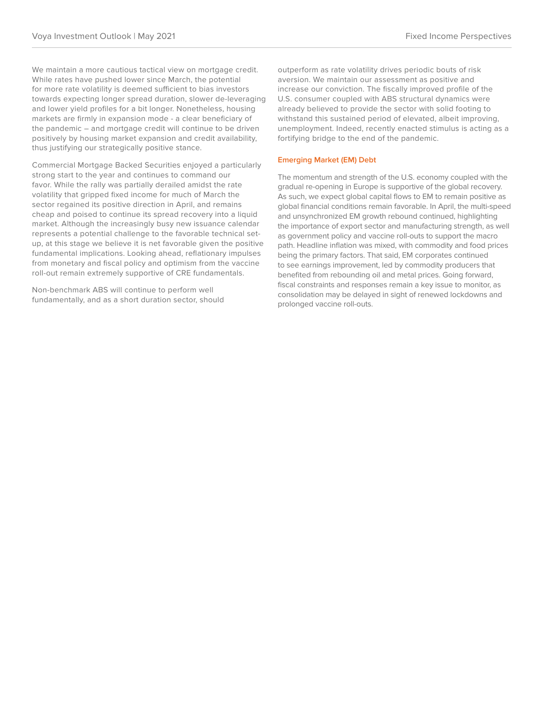We maintain a more cautious tactical view on mortgage credit. While rates have pushed lower since March, the potential for more rate volatility is deemed sufficient to bias investors towards expecting longer spread duration, slower de-leveraging and lower yield profiles for a bit longer. Nonetheless, housing markets are firmly in expansion mode - a clear beneficiary of the pandemic – and mortgage credit will continue to be driven positively by housing market expansion and credit availability, thus justifying our strategically positive stance.

Commercial Mortgage Backed Securities enjoyed a particularly strong start to the year and continues to command our favor. While the rally was partially derailed amidst the rate volatility that gripped fixed income for much of March the sector regained its positive direction in April, and remains cheap and poised to continue its spread recovery into a liquid market. Although the increasingly busy new issuance calendar represents a potential challenge to the favorable technical setup, at this stage we believe it is net favorable given the positive fundamental implications. Looking ahead, reflationary impulses from monetary and fiscal policy and optimism from the vaccine roll-out remain extremely supportive of CRE fundamentals.

Non-benchmark ABS will continue to perform well fundamentally, and as a short duration sector, should outperform as rate volatility drives periodic bouts of risk aversion. We maintain our assessment as positive and increase our conviction. The fiscally improved profile of the U.S. consumer coupled with ABS structural dynamics were already believed to provide the sector with solid footing to withstand this sustained period of elevated, albeit improving, unemployment. Indeed, recently enacted stimulus is acting as a fortifying bridge to the end of the pandemic.

## **Emerging Market (EM) Debt**

The momentum and strength of the U.S. economy coupled with the gradual re-opening in Europe is supportive of the global recovery. As such, we expect global capital flows to EM to remain positive as global financial conditions remain favorable. In April, the multi-speed and unsynchronized EM growth rebound continued, highlighting the importance of export sector and manufacturing strength, as well as government policy and vaccine roll-outs to support the macro path. Headline inflation was mixed, with commodity and food prices being the primary factors. That said, EM corporates continued to see earnings improvement, led by commodity producers that benefited from rebounding oil and metal prices. Going forward, fiscal constraints and responses remain a key issue to monitor, as consolidation may be delayed in sight of renewed lockdowns and prolonged vaccine roll-outs.